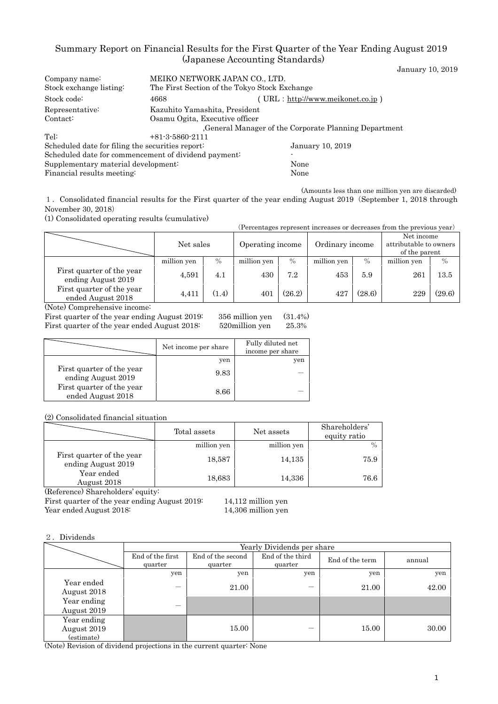# Summary Report on Financial Results for the First Quarter of the Year Ending August 2019 (Japanese Accounting Standards) January 10, 2019

| Company name:                                    | MEIKO NETWORK JAPAN CO., LTD.                        |                                                      |  |  |  |
|--------------------------------------------------|------------------------------------------------------|------------------------------------------------------|--|--|--|
| Stock exchange listing:                          |                                                      | The First Section of the Tokyo Stock Exchange        |  |  |  |
| Stock code:                                      | 4668                                                 | (URL: http://www.meikonet.co.jp)                     |  |  |  |
| Representative:                                  |                                                      | Kazuhito Yamashita, President                        |  |  |  |
| Contact:                                         | Osamu Ogita, Executive officer                       |                                                      |  |  |  |
|                                                  |                                                      | General Manager of the Corporate Planning Department |  |  |  |
| Tel:                                             | $+81-3-5860-2111$                                    |                                                      |  |  |  |
| Scheduled date for filing the securities report: |                                                      | January 10, 2019                                     |  |  |  |
|                                                  | Scheduled date for commencement of dividend payment: |                                                      |  |  |  |
| Supplementary material development:              |                                                      | None                                                 |  |  |  |
| Financial results meeting:<br>None               |                                                      |                                                      |  |  |  |

(Amounts less than one million yen are discarded) 1.Consolidated financial results for the First quarter of the year ending August 2019(September 1, 2018 through November 30, 2018)

(1) Consolidated operating results (cumulative)

(Percentages represent increases or decreases from the previous year)

|                                                 | Net sales   |               | Operating income |        | Ordinary income |        | Net income<br>attributable to owners<br>of the parent |               |
|-------------------------------------------------|-------------|---------------|------------------|--------|-----------------|--------|-------------------------------------------------------|---------------|
|                                                 | million yen | $\frac{0}{0}$ | million yen      | $\%$   | million yen     | $\%$   | million yen                                           | $\frac{0}{0}$ |
| First quarter of the year<br>ending August 2019 | 4,591       | 4.1           | 430              | 7.2    | 453             | 5.9    | 261                                                   | $^{13.5}$     |
| First quarter of the year<br>ended August 2018  | 4.411       | (1.4)         | 401              | (26.2) | 427             | (28.6) | 229                                                   | (29.6)        |

(Note) Comprehensive income:

First quarter of the year ending August 2019: 356 million yen (31.4%) First quarter of the year ended August 2018: 520million yen 25.3%

|                                                 | Net income per share | Fully diluted net<br>income per share |
|-------------------------------------------------|----------------------|---------------------------------------|
|                                                 | yen                  | yen                                   |
| First quarter of the year<br>ending August 2019 | 9.83                 |                                       |
| First quarter of the year<br>ended August 2018  | 8.66                 |                                       |

(2) Consolidated financial situation

|                                                 | Total assets | Net assets  | Shareholders'<br>equity ratio |
|-------------------------------------------------|--------------|-------------|-------------------------------|
|                                                 | million yen  | million yen |                               |
| First quarter of the year<br>ending August 2019 | 18,587       | 14,135      | 75.9                          |
| Year ended<br>August 2018<br>$\sim$             | 18,683       | 14,336      | 76.6                          |

(Reference) Shareholders' equity:

First quarter of the year ending August 2019: 14,112 million yen Year ended August 2018: 14,306 million yen

#### 2.Dividends

|                                          | Yearly Dividends per share  |                              |                             |                 |        |  |
|------------------------------------------|-----------------------------|------------------------------|-----------------------------|-----------------|--------|--|
|                                          | End of the first<br>quarter | End of the second<br>quarter | End of the third<br>quarter | End of the term | annual |  |
|                                          | yen                         | yen                          | yen                         | yen             | yen    |  |
| Year ended<br>August 2018                |                             | 21.00                        |                             | 21.00           | 42.00  |  |
| Year ending<br>August 2019               |                             |                              |                             |                 |        |  |
| Year ending<br>August 2019<br>(estimate) |                             | 15.00                        |                             | 15.00           | 30.00  |  |

(Note) Revision of dividend projections in the current quarter: None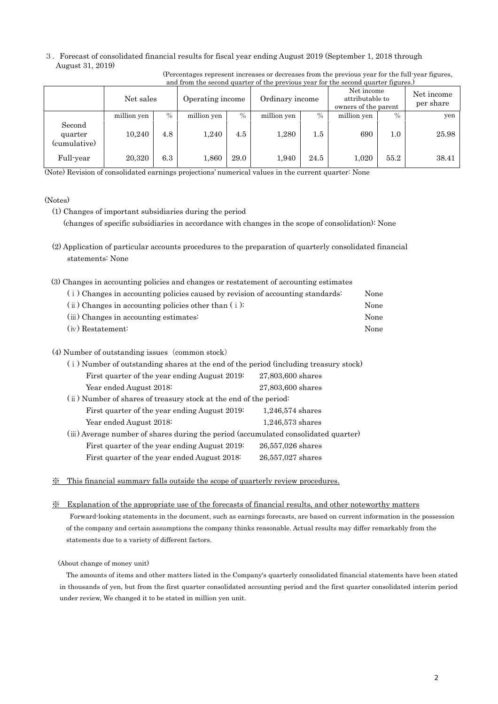3.Forecast of consolidated financial results for fiscal year ending August 2019 (September 1, 2018 through August 31, 2019)

| and from the second quarter of the previous year for the second quarter figures. |             |      |                  |      |                 |         |                                                       |               |                         |
|----------------------------------------------------------------------------------|-------------|------|------------------|------|-----------------|---------|-------------------------------------------------------|---------------|-------------------------|
|                                                                                  | Net sales   |      | Operating income |      | Ordinary income |         | Net income<br>attributable to<br>owners of the parent |               | Net income<br>per share |
|                                                                                  | million yen | $\%$ | million yen      | $\%$ | million yen     | $\%$    | million yen                                           | $\frac{0}{0}$ | yen                     |
| Second<br>quarter<br>(cumulative)                                                | 10.240      | 4.8  | 1,240            | 4.5  | 1,280           | $1.5\,$ | 690                                                   | $1.0\,$       | 25.98                   |
| Full-year                                                                        | 20,320      | 6.3  | 1,860            | 29.0 | 1,940           | 24.5    | 1,020                                                 | 55.2          | 38.41                   |

(Percentages represent increases or decreases from the previous year for the full-year figures, and from the second quarter of the previous year for the second quarter figures.)

(Note) Revision of consolidated earnings projections' numerical values in the current quarter: None

## (Notes)

- (1) Changes of important subsidiaries during the period (changes of specific subsidiaries in accordance with changes in the scope of consolidation): None
- (2) Application of particular accounts procedures to the preparation of quarterly consolidated financial statements: None
- (3) Changes in accounting policies and changes or restatement of accounting estimates

| (i) Changes in accounting policies caused by revision of accounting standards: | None |
|--------------------------------------------------------------------------------|------|
| $(i)$ Changes in accounting policies other than $(i)$ :                        | None |
| (iii) Changes in accounting estimates:                                         | None |
| $(iv)$ Restatement:                                                            | None |

## (4) Number of outstanding issues (common stock)

| (i) Number of outstanding shares at the end of the period (including treasury stock) |                    |  |  |  |
|--------------------------------------------------------------------------------------|--------------------|--|--|--|
| First quarter of the year ending August 2019:                                        | 27,803,600 shares  |  |  |  |
| Year ended August 2018:                                                              | 27,803,600 shares  |  |  |  |
| (ii) Number of shares of treasury stock at the end of the period:                    |                    |  |  |  |
| First quarter of the year ending August 2019:                                        | $1,246,574$ shares |  |  |  |
| Year ended August 2018:                                                              | $1,246,573$ shares |  |  |  |
| (iii) Average number of shares during the period (accumulated consolidated quarter)  |                    |  |  |  |
| First quarter of the year ending August 2019:                                        | 26,557,026 shares  |  |  |  |
| First quarter of the year ended August 2018:                                         | 26,557,027 shares  |  |  |  |

※ This financial summary falls outside the scope of quarterly review procedures.

#### ※ Explanation of the appropriate use of the forecasts of financial results, and other noteworthy matters

Forward-looking statements in the document, such as earnings forecasts, are based on current information in the possession of the company and certain assumptions the company thinks reasonable. Actual results may differ remarkably from the statements due to a variety of different factors.

## (About change of money unit)

The amounts of items and other matters listed in the Company's quarterly consolidated financial statements have been stated in thousands of yen, but from the first quarter consolidated accounting period and the first quarter consolidated interim period under review, We changed it to be stated in million yen unit.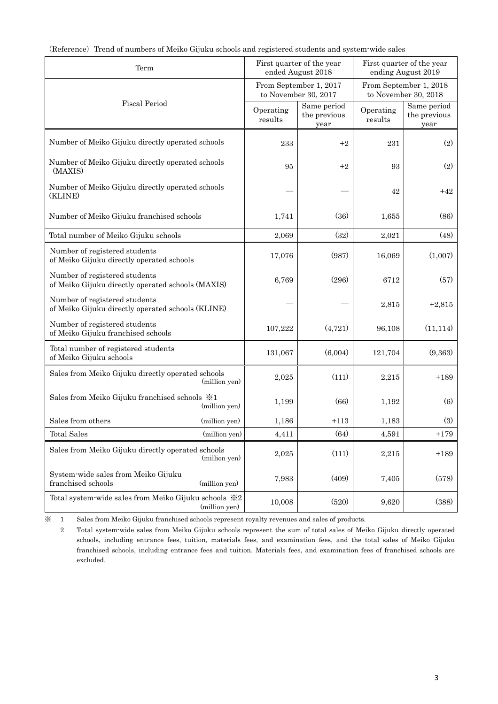| Term                                                                               |               |                                                                                                  | First quarter of the year<br>ended August 2018 | First quarter of the year<br>ending August 2019 |                                     |  |
|------------------------------------------------------------------------------------|---------------|--------------------------------------------------------------------------------------------------|------------------------------------------------|-------------------------------------------------|-------------------------------------|--|
|                                                                                    |               | From September 1, 2017<br>From September 1, 2018<br>to November 30, 2017<br>to November 30, 2018 |                                                |                                                 |                                     |  |
| <b>Fiscal Period</b>                                                               |               | Operating<br>results                                                                             | Same period<br>the previous<br>year            | Operating<br>results                            | Same period<br>the previous<br>year |  |
| Number of Meiko Gijuku directly operated schools                                   |               | 233                                                                                              | $+2$                                           | 231                                             | (2)                                 |  |
| Number of Meiko Gijuku directly operated schools<br>(MAXIS)                        |               | 95                                                                                               | $+2$                                           | 93                                              | (2)                                 |  |
| Number of Meiko Gijuku directly operated schools<br>(KLINE)                        |               |                                                                                                  |                                                | 42                                              | +42                                 |  |
| Number of Meiko Gijuku franchised schools                                          | 1,741         | (36)                                                                                             | 1,655                                          | (86)                                            |                                     |  |
| Total number of Meiko Gijuku schools                                               |               | 2,069                                                                                            | (32)                                           | 2,021                                           | (48)                                |  |
| Number of registered students<br>of Meiko Gijuku directly operated schools         |               | 17,076                                                                                           | (987)                                          | 16,069                                          | (1,007)                             |  |
| Number of registered students<br>of Meiko Gijuku directly operated schools (MAXIS) |               | 6,769                                                                                            | (296)                                          | 6712                                            | (57)                                |  |
| Number of registered students<br>of Meiko Gijuku directly operated schools (KLINE) |               |                                                                                                  |                                                | 2,815                                           | $+2,815$                            |  |
| Number of registered students<br>of Meiko Gijuku franchised schools                |               | 107,222                                                                                          | (4,721)                                        | 96,108                                          | (11, 114)                           |  |
| Total number of registered students<br>of Meiko Gijuku schools                     |               | 131,067                                                                                          | (6,004)                                        | 121,704                                         | (9,363)                             |  |
| Sales from Meiko Gijuku directly operated schools                                  | (million yen) | 2,025                                                                                            | (111)                                          | 2,215                                           | $+189$                              |  |
| Sales from Meiko Gijuku franchised schools $\frac{1}{2}$ 1                         | (million yen) | 1,199                                                                                            | (66)                                           | 1,192                                           | $\left(6\right)$                    |  |
| Sales from others                                                                  | (million yen) | 1,186                                                                                            | $+113$                                         | 1,183                                           | (3)                                 |  |
| <b>Total Sales</b>                                                                 | (million yen) | 4,411                                                                                            | (64)                                           | 4,591                                           | $+179$                              |  |
| Sales from Meiko Gijuku directly operated schools                                  | (million yen) | 2,025                                                                                            | (111)                                          | 2,215                                           | $+189$                              |  |
| System-wide sales from Meiko Gijuku<br>franchised schools                          | (million yen) | 7,983                                                                                            | (409)                                          | 7,405                                           | (578)                               |  |
| Total system-wide sales from Meiko Gijuku schools ※2                               | (million yen) | 10,008                                                                                           | (520)                                          | 9,620                                           | (388)                               |  |

|  |  |  | (Reference) Trend of numbers of Meiko Gijuku schools and registered students and system wide sales |
|--|--|--|----------------------------------------------------------------------------------------------------|
|  |  |  |                                                                                                    |

※ 1 Sales from Meiko Gijuku franchised schools represent royalty revenues and sales of products.

2 Total system-wide sales from Meiko Gijuku schools represent the sum of total sales of Meiko Gijuku directly operated schools, including entrance fees, tuition, materials fees, and examination fees, and the total sales of Meiko Gijuku franchised schools, including entrance fees and tuition. Materials fees, and examination fees of franchised schools are excluded.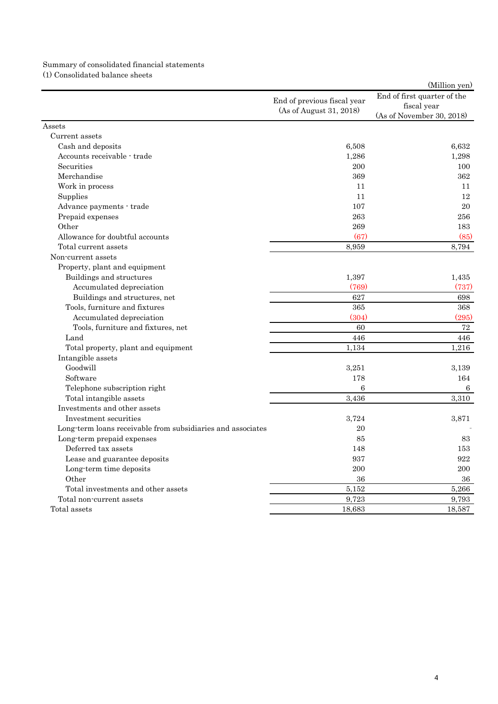# Summary of consolidated financial statements (1) Consolidated balance sheets

|                                                             |                             | (Million yen)               |
|-------------------------------------------------------------|-----------------------------|-----------------------------|
|                                                             | End of previous fiscal year | End of first quarter of the |
|                                                             | (As of August 31, 2018)     | fiscal year                 |
|                                                             |                             | (As of November 30, 2018)   |
| Assets                                                      |                             |                             |
| Current assets                                              |                             |                             |
| Cash and deposits                                           | 6,508                       | 6.632                       |
| Accounts receivable - trade                                 | 1,286                       | 1,298                       |
| Securities                                                  | 200                         | 100                         |
| Merchandise                                                 | 369                         | 362                         |
| Work in process                                             | 11                          | 11                          |
| Supplies                                                    | 11                          | 12                          |
| Advance payments - trade                                    | 107                         | 20                          |
| Prepaid expenses                                            | 263                         | 256                         |
| Other                                                       | 269                         | 183                         |
| Allowance for doubtful accounts                             | (67)                        | (85)                        |
| Total current assets                                        | 8,959                       | 8,794                       |
| Non-current assets                                          |                             |                             |
| Property, plant and equipment                               |                             |                             |
| Buildings and structures                                    | 1,397                       | 1,435                       |
| Accumulated depreciation                                    | (769)                       | (737)                       |
| Buildings and structures, net                               | 627                         | 698                         |
| Tools, furniture and fixtures                               | 365                         | 368                         |
| Accumulated depreciation                                    | (304)                       | (295)                       |
| Tools, furniture and fixtures, net                          | 60                          | 72                          |
| Land                                                        | 446                         | 446                         |
| Total property, plant and equipment                         | 1,134                       | 1,216                       |
| Intangible assets                                           |                             |                             |
| Goodwill                                                    | 3,251                       | 3,139                       |
| Software                                                    | 178                         | 164                         |
| Telephone subscription right                                | 6                           | 6                           |
| Total intangible assets                                     | 3,436                       | 3,310                       |
| Investments and other assets                                |                             |                             |
| Investment securities                                       | 3,724                       | 3,871                       |
| Long-term loans receivable from subsidiaries and associates | 20                          |                             |
| Long-term prepaid expenses                                  | 85                          | 83                          |
| Deferred tax assets                                         | 148                         | 153                         |
| Lease and guarantee deposits                                | 937                         | 922                         |
| Long-term time deposits                                     | 200                         | 200                         |
| Other                                                       | 36                          | 36                          |
| Total investments and other assets                          | 5,152                       | 5,266                       |
| Total non-current assets                                    | 9,723                       | 9,793                       |
| Total assets                                                | 18,683                      | 18,587                      |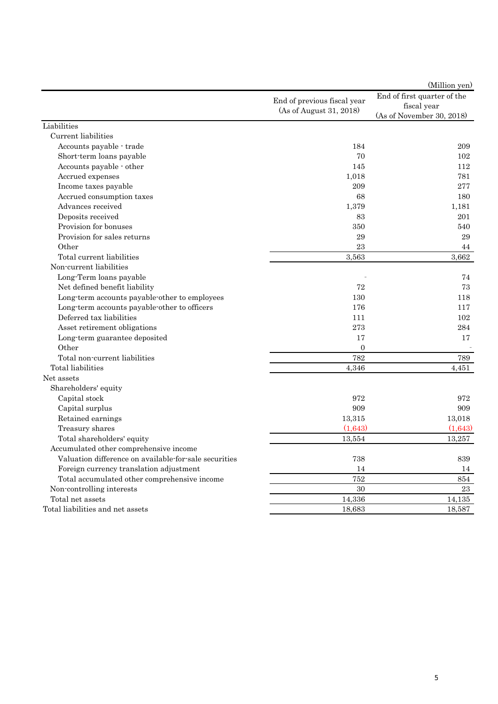|                                                       |                             | (Million yen)                              |
|-------------------------------------------------------|-----------------------------|--------------------------------------------|
|                                                       | End of previous fiscal year | End of first quarter of the<br>fiscal year |
|                                                       | (As of August 31, 2018)     | (As of November 30, 2018)                  |
| Liabilities                                           |                             |                                            |
| Current liabilities                                   |                             |                                            |
| Accounts payable · trade                              | 184                         | 209                                        |
| Short-term loans payable                              | 70                          | 102                                        |
| Accounts payable - other                              | 145                         | 112                                        |
| Accrued expenses                                      | 1,018                       | 781                                        |
| Income taxes payable                                  | 209                         | 277                                        |
| Accrued consumption taxes                             | 68                          | 180                                        |
| Advances received                                     | 1,379                       | 1,181                                      |
| Deposits received                                     | 83                          | 201                                        |
| Provision for bonuses                                 | 350                         | 540                                        |
| Provision for sales returns                           | 29                          | 29                                         |
| Other                                                 | 23                          | 44                                         |
| Total current liabilities                             | 3,563                       | 3,662                                      |
| Non-current liabilities                               |                             |                                            |
| Long-Term loans payable                               |                             | 74                                         |
| Net defined benefit liability                         | 72                          | 73                                         |
| Long-term accounts payable-other to employees         | 130                         | 118                                        |
| Long-term accounts payable-other to officers          | 176                         | 117                                        |
| Deferred tax liabilities                              | 111                         | 102                                        |
| Asset retirement obligations                          | 273                         | 284                                        |
| Long-term guarantee deposited                         | 17                          | 17                                         |
| Other                                                 | $\overline{0}$              |                                            |
| Total non-current liabilities                         | 782                         | 789                                        |
| Total liabilities                                     | 4,346                       | 4,451                                      |
| Net assets                                            |                             |                                            |
| Shareholders' equity                                  |                             |                                            |
| Capital stock                                         | 972                         | 972                                        |
| Capital surplus                                       | 909                         | 909                                        |
| Retained earnings                                     | 13,315                      | 13,018                                     |
| Treasury shares                                       | (1,643)                     | (1,643)                                    |
| Total shareholders' equity                            | 13,554                      | 13,257                                     |
| Accumulated other comprehensive income                |                             |                                            |
| Valuation difference on available-for-sale securities | 738                         | 839                                        |
| Foreign currency translation adjustment               | 14                          | 14                                         |
| Total accumulated other comprehensive income          | 752                         | 854                                        |
| Non-controlling interests                             | 30                          | 23                                         |
| Total net assets                                      | 14,336                      | 14,135                                     |
| Total liabilities and net assets                      | 18,683                      | 18,587                                     |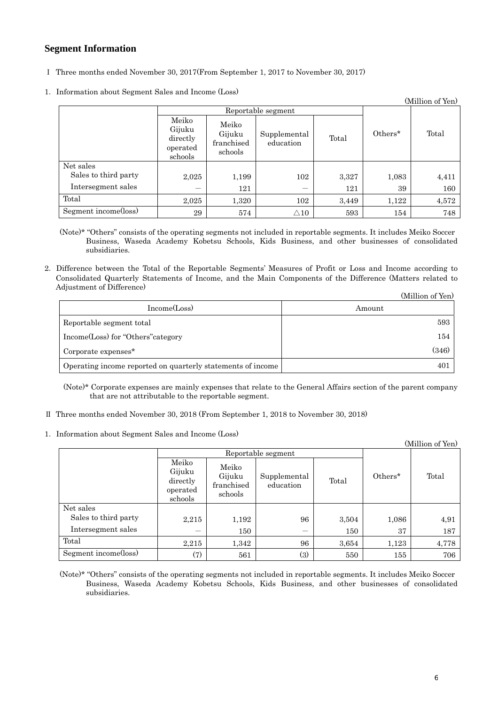# **Segment Information**

- Ⅰ Three months ended November 30, 2017(From September 1, 2017 to November 30, 2017)
- 1.Information about Segment Sales and Income (Loss)

|                      |                                                    |                                          |                           |       |         | (Million of Yen) |
|----------------------|----------------------------------------------------|------------------------------------------|---------------------------|-------|---------|------------------|
|                      | Reportable segment                                 |                                          |                           |       |         |                  |
|                      | Meiko<br>Gijuku<br>directly<br>operated<br>schools | Meiko<br>Gijuku<br>franchised<br>schools | Supplemental<br>education | Total | Others* | Total            |
| Net sales            |                                                    |                                          |                           |       |         |                  |
| Sales to third party | 2,025                                              | 1,199                                    | 102                       | 3,327 | 1,083   | 4,411            |
| Intersegment sales   | –                                                  | 121                                      |                           | 121   | 39      | 160              |
| Total                | 2,025                                              | 1,320                                    | 102                       | 3,449 | 1,122   | 4,572            |
| Segment income(loss) | 29                                                 | 574                                      | $\triangle 10$            | 593   | 154     | 748              |

(Note)\* "Others" consists of the operating segments not included in reportable segments. It includes Meiko Soccer Business, Waseda Academy Kobetsu Schools, Kids Business, and other businesses of consolidated subsidiaries.

2.Difference between the Total of the Reportable Segments' Measures of Profit or Loss and Income according to Consolidated Quarterly Statements of Income, and the Main Components of the Difference (Matters related to Adjustment of Difference)

|                                                             | (Million of Yen) |
|-------------------------------------------------------------|------------------|
| Income(Loss)                                                | Amount           |
| Reportable segment total                                    | 593              |
| Income(Loss) for "Others" category                          | 154              |
| Corporate expenses <sup>*</sup>                             | (346)            |
| Operating income reported on quarterly statements of income | 401              |

(Note)\* Corporate expenses are mainly expenses that relate to the General Affairs section of the parent company that are not attributable to the reportable segment.

- Ⅱ Three months ended November 30, 2018 (From September 1, 2018 to November 30, 2018)
- 1.Information about Segment Sales and Income (Loss)

|                      |                                                    |                                          |                           |       |         | (Million of Yen) |
|----------------------|----------------------------------------------------|------------------------------------------|---------------------------|-------|---------|------------------|
|                      | Reportable segment                                 |                                          |                           |       |         |                  |
|                      | Meiko<br>Gijuku<br>directly<br>operated<br>schools | Meiko<br>Gijuku<br>franchised<br>schools | Supplemental<br>education | Total | Others* | Total            |
| Net sales            |                                                    |                                          |                           |       |         |                  |
| Sales to third party | 2,215                                              | 1,192                                    | 96                        | 3,504 | 1,086   | 4,91             |
| Intersegment sales   |                                                    | 150                                      |                           | 150   | 37      | 187              |
| Total                | 2,215                                              | 1,342                                    | 96                        | 3,654 | 1,123   | 4,778            |
| Segment income(loss) | (7)                                                | 561                                      | (3)                       | 550   | 155     | 706              |

(Note)\* "Others" consists of the operating segments not included in reportable segments. It includes Meiko Soccer Business, Waseda Academy Kobetsu Schools, Kids Business, and other businesses of consolidated subsidiaries.